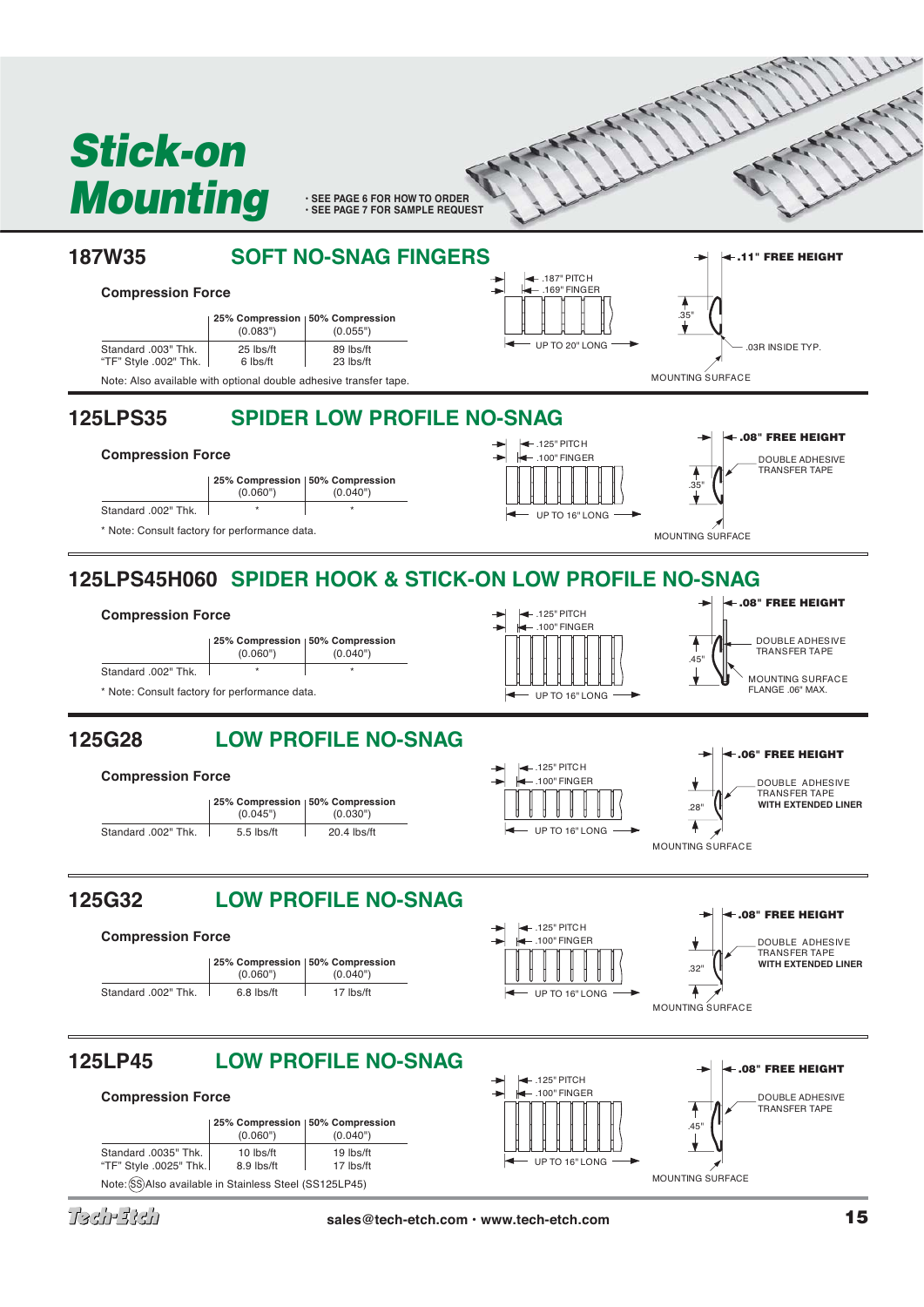

Tach-Bìch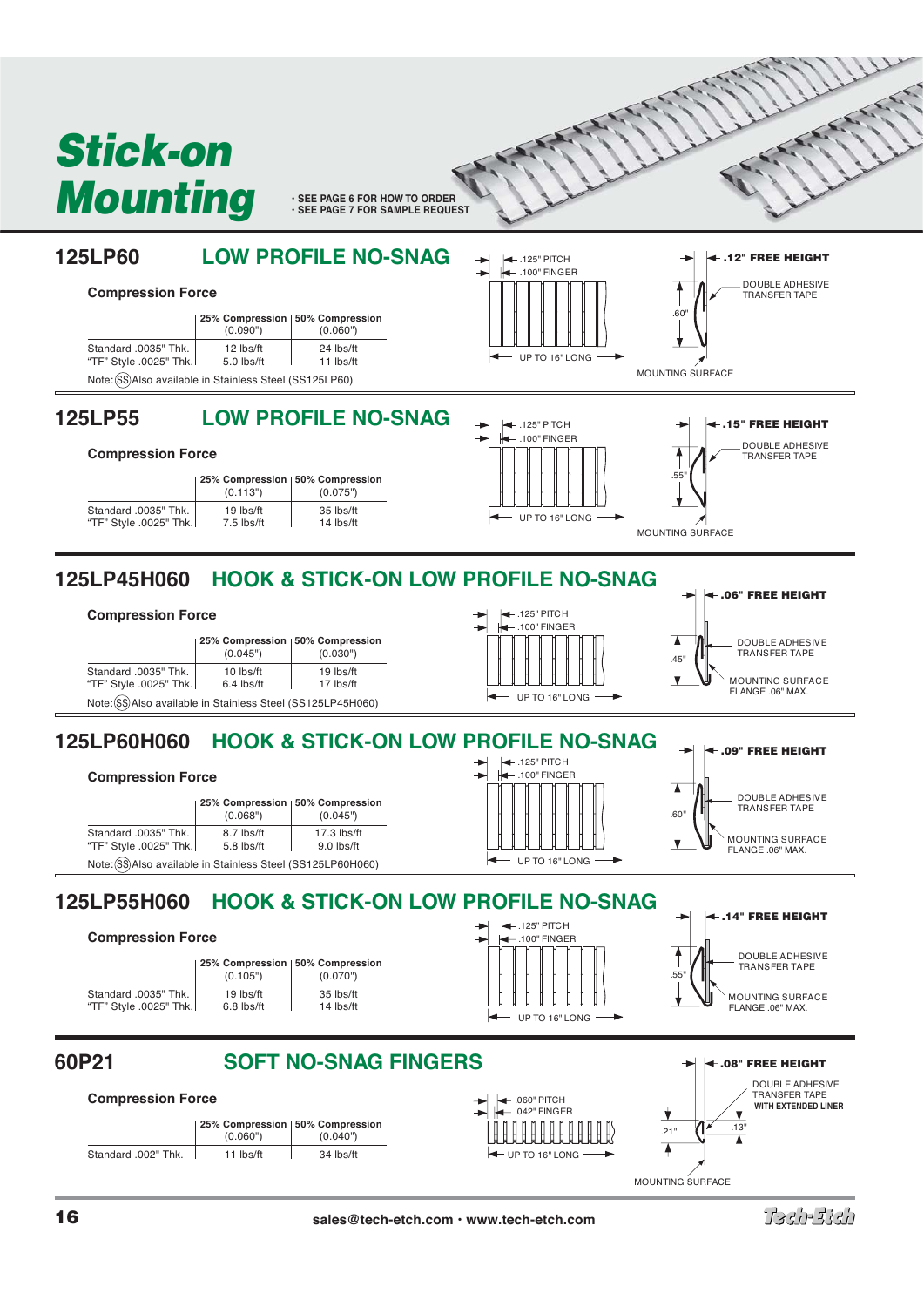





**WITH EXTENDED LINER**

 $\overline{\mathbf{v}}$ 

MOUNTING SURFACE

**16 sales@tech-etch.com • www.tech-etch.com**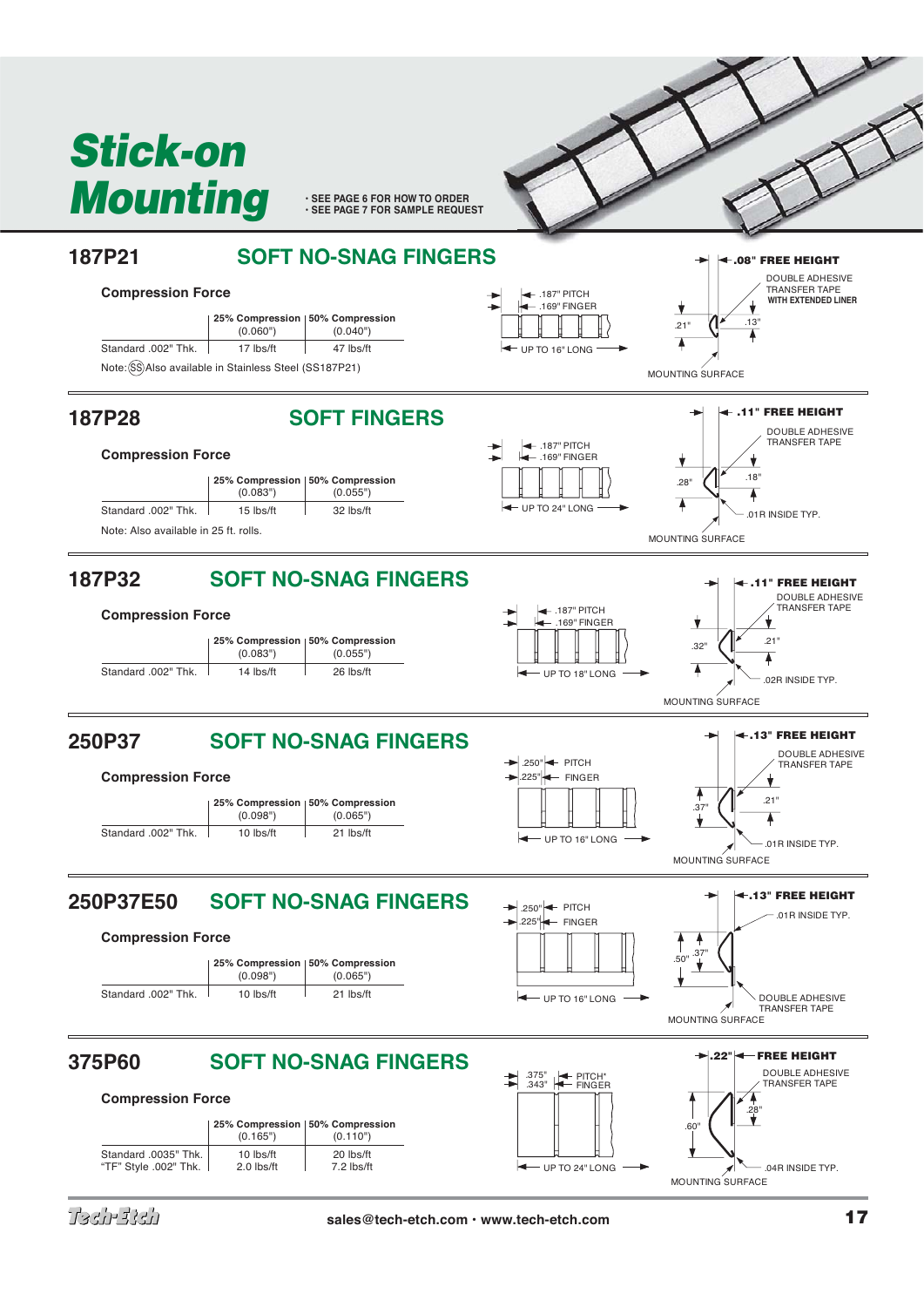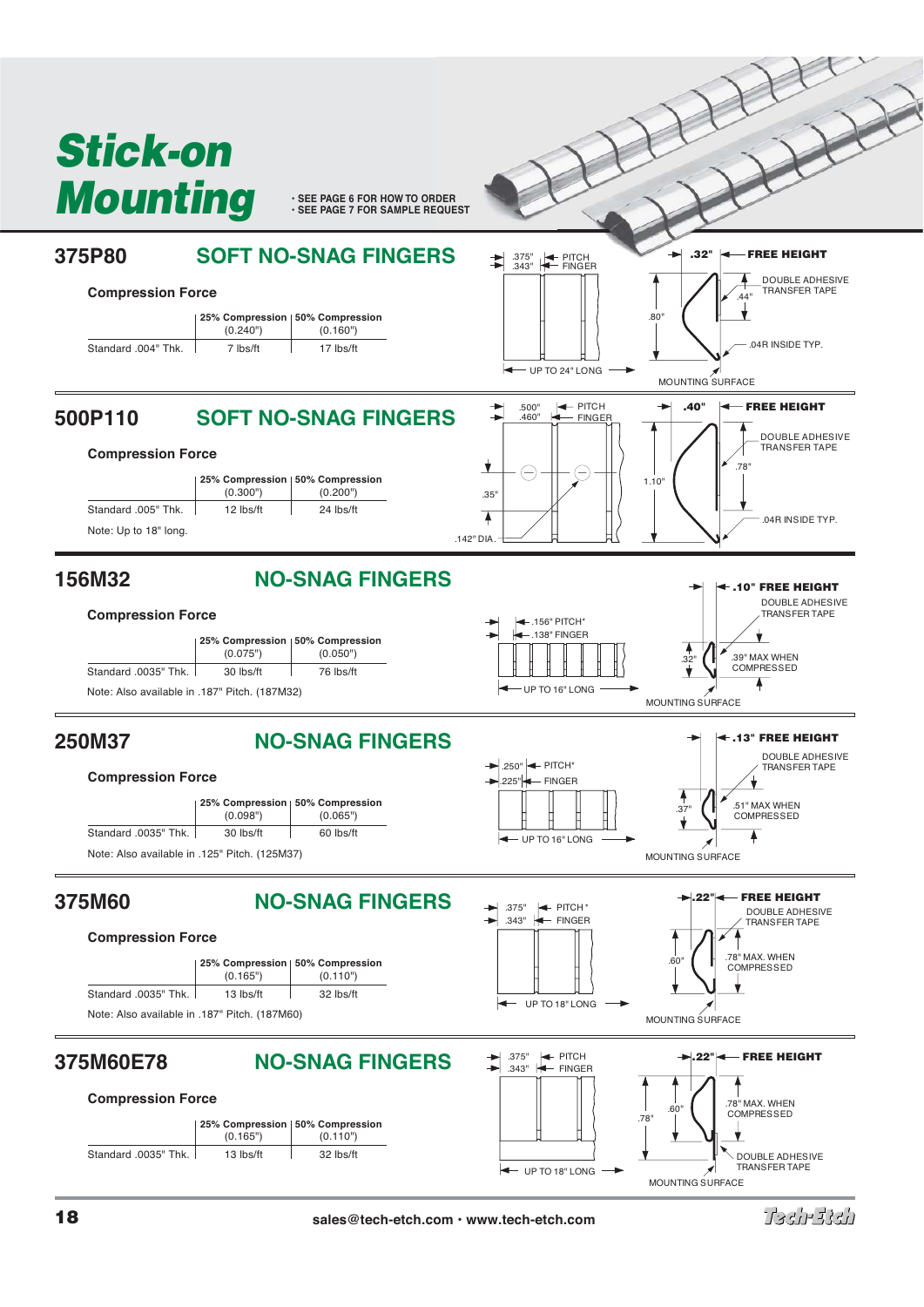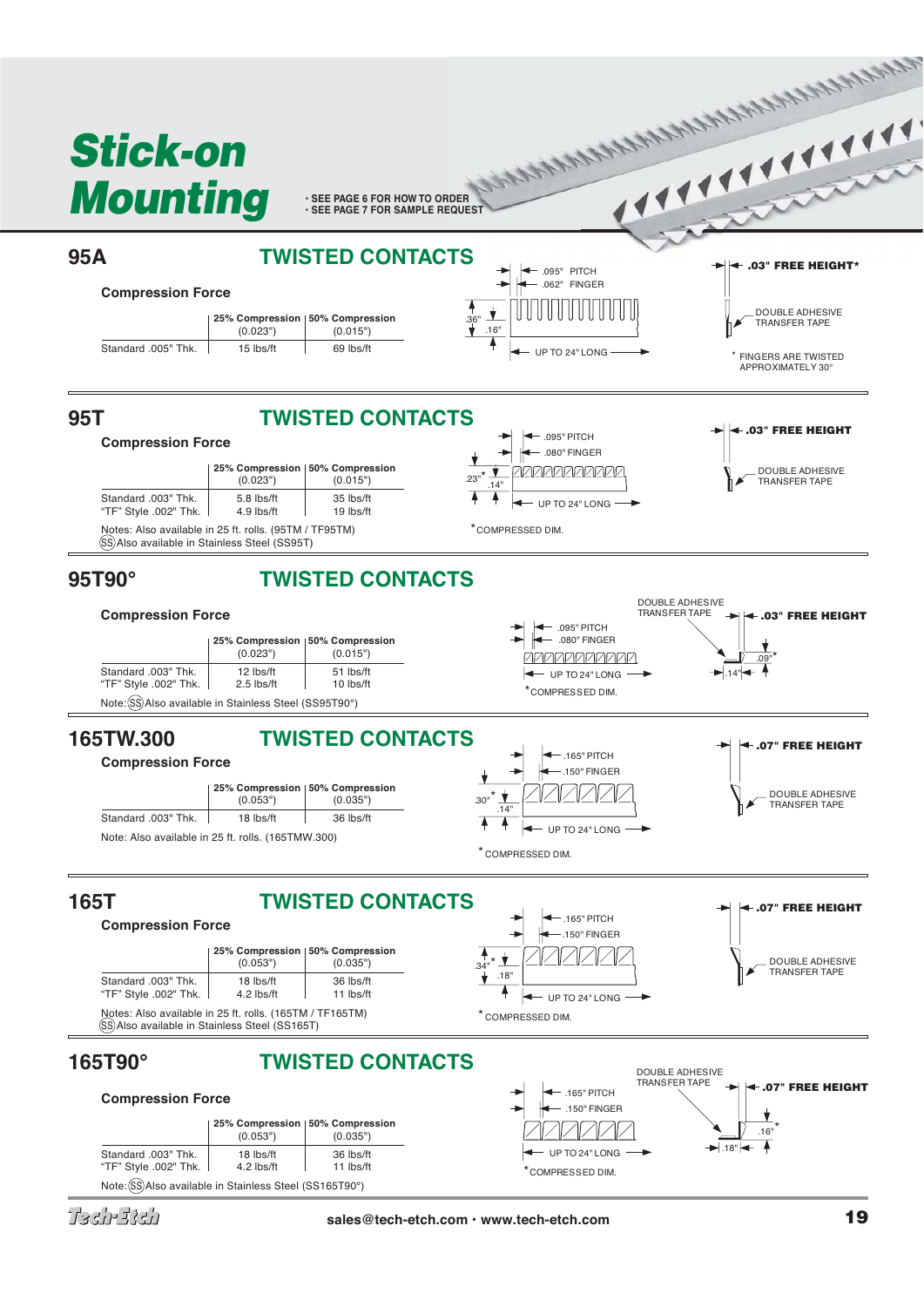